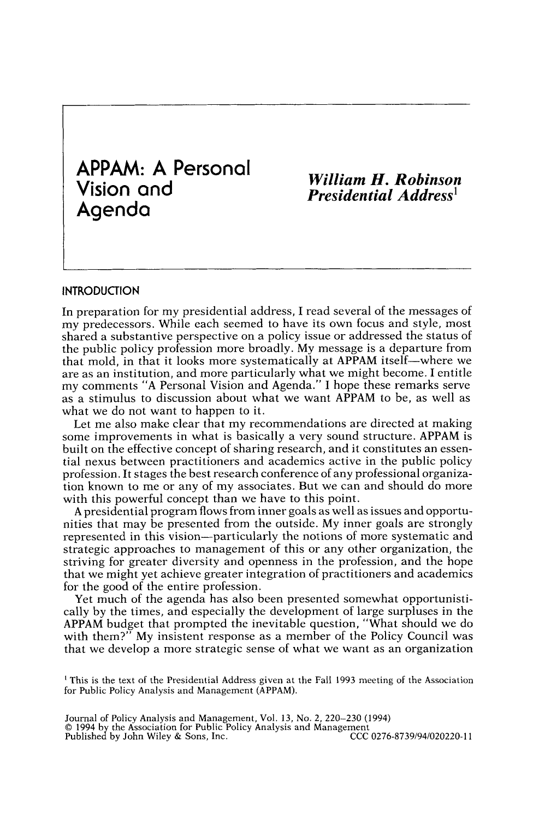# <sup>I</sup>**APPAM: A Personal Vision and Agenda**

*William H. Robinson Presidential Address'* 

### INTRODUCTION

In preparation for my presidential address, I read several of the messages of my predecessors. While each seemed to have its own focus and style, most shared a substantive perspective on a policy issue or addressed the status of the public policy profession more broadly. My message is a departure from that mold, in that it looks more systematically at APPAM itself-where we are as an institution, and more particularly what we might become. I entitle my comments "A Personal Vision and Agenda." **I** hope these remarks serve as a stimulus to discussion about what we want APPAM to be, as well as what we do not want to happen to it.

Let me also make clear that my recommendations are directed at making some improvements in what is basically a very sound structure. APPAM is built on the effective concept of sharing research, and it constitutes an essential nexus between practitioners and academics active in the public policy profession. It stages the best research conference of any professional organization known to me or any of my associates. But we can and should do more with this powerful concept than we have to this point.

A presidential program flows from inner goals as well as issues and opportunities that may be presented from the outside. My inner goals are strongly represented in this vision-particularly the notions of more systematic and strategic approaches to management of this or any other organization, the striving for greater diversity and openness in the profession, and the hope that we might yet achieve greater integration of practitioners and academics for the good of the entire profession.

Yet much of the agenda has also been presented somewhat opportunistically by the times, and especially the development of large surpluses in the APPAM budget that prompted the inevitable question, "What should we do with them?" My insistent response as a member of the Policy Council was that we develop a more strategic sense of what we want as an organization

' This is the text **of** the Presidential Address given at the Fall 1993 meeting of the Association for Public Policy Analysis and Management (APPAM).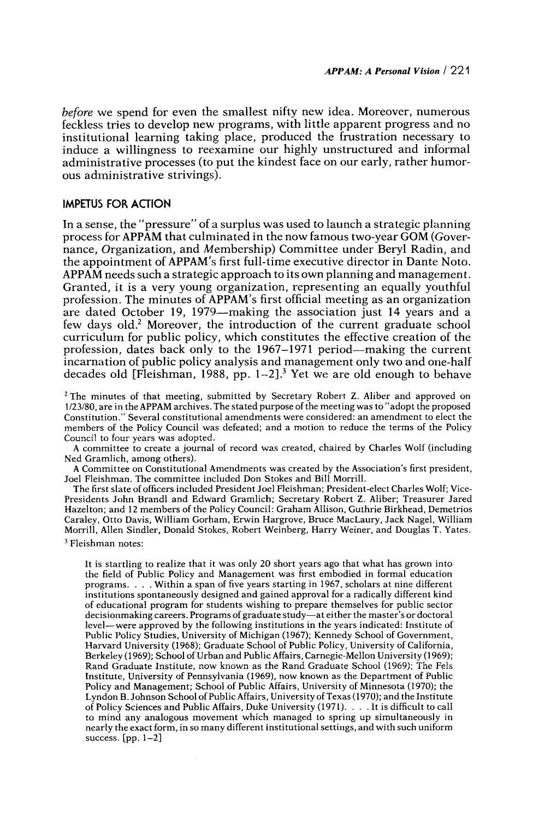*before* we spend for even the smallest nifty new idea. Moreover, numerous feckless tries to develop new programs, with little apparent progress and no institutional learning taking place, produced the frustration necessary to induce a willingness to reexamine our highly unstructured and informal administrative processes (to put the kindest face on our early, rather humorous administrative strivings).

## **IMPETUS FOR ACTION**

In a sense, the "pressure" of a surplus was used to launch a strategic planning process for **APPAM** that culminated in the now famous two-year **GOM** (Governance, Organization, and Membership) Committee under Beryl Radin, and the appointment of **APPAM's** first full-time executive director in Dante Noto. **APPAM** needs such a strategic approach to its own planning and management. Granted, it is a very young organization, representing an equally youthful profession. The minutes of **APPAM's** first official meeting as an organization are dated October 19, 1979-making the association just **14** years and a few days old? Moreover, the introduction of the current graduate school curriculum for public policy, which constitutes the effective creation of the profession, dates back only to the 1967-1971 period-making the current incarnation of public policy analysis and management only two and one-half decades old [Fleishman, 1988, pp. **l-21.3** Yet we are old enough to behave

<sup>2</sup> The minutes of that meeting, submitted by Secretary Robert Z. Aliber and approved on 1/23/80, are in the APPAM archives. The stated purpose of the meeting was to "adopt the proposed Constitution." Several constitutional amendments were considered: an amendment to elect the members of the Policy Council was defeated; and a motion to reduce the terms of the Policy Council to four years was adopted.

A committee **to** create a journal of record **was** created, chaired by Charles Wolf (including Ned Gramlich, among others).

A Committee on Constitutional Amendments was created by the Association's first president, Joel Fleishman. The committee included Don Stokes and Bill Morrill.

The first slate **of** officers included President Joel Fleishman; President-elect Charles Wolf; Vice-Presidents John Brand1 and Edward Gramlich; Secretary Robert Z. Aliber; Treasurer Jared Hazelton; and **12** members **of** the Policy Council: Graham Allison, Guthrie Birkhead, Demetrios Caraley, Otto Davis, William Gorham, Erwin Hargrove, Bruce MacLaury, Jack Nagel. William Morrill, Allen Sindler, Donald Stokes, Robert Weinberg, Harry Weiner, and Douglas **T.** Yates. <sup>3</sup> Fleishman notes:

It is startling to realize that it was only **20** short years ago that what has grown into the field of Public Policy and Management was first embodied in formal education programs. . . . Within a span of five years starting in 1967, scholars at nine different institutions spontaneously designed and gained approval for a radically different kind **of** educational program for students wishing to prepare themselves for public sector decisionmaking careers. Programs of graduate study-at either the master's or doctoral level-were approved by the following institutions in the years indicated: Institute of Public Policy Studies, University of Michigan (1 967); Kennedy School **of** Government, Harvard University (1968); Graduate School of Public Policy, University **of** California. Berkeley (1969); School of Urban and Public Affairs, Carnegie-Mellon University **(1** 969); Rand Graduate Institute, now known as the Rand Graduate School (1969); The Fels Institute, University of Pennsylvania (1969), now known as the Department of Public Policy and Management; School of Public Affairs, University of Minnesota (1970); the Lyndon B. Johnson School **of** Public Affairs, University **of** Texas (1970); and the Institute of Policy Sciences and Public Affairs, Duke University (1971). . . . It is difficult to call to mind any analogous movement which managed to spring up simultaneously in nearly the exact form, in so many different institutional settings, and with such uniform success.  $[pp. 1-2]$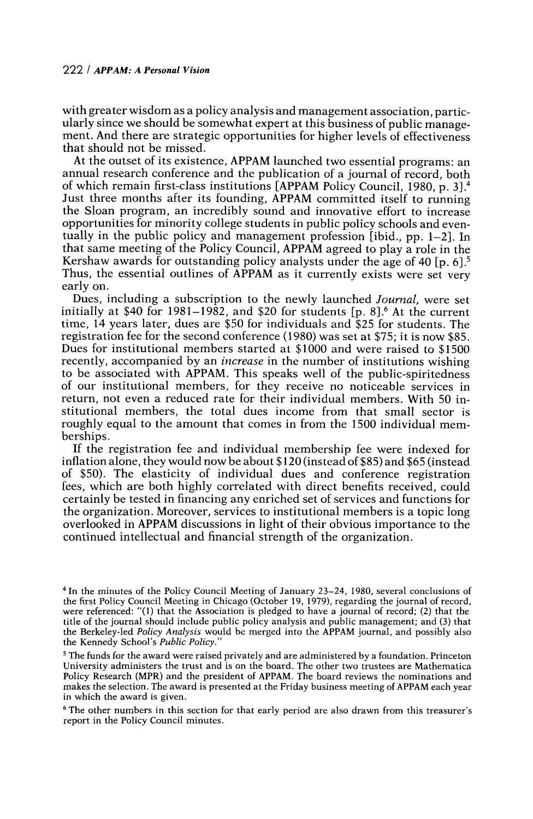with greater wisdom as a policy analysis and management association, particularly since we should be somewhat expert at this business of public management. And there are strategic opportunities for higher levels of effectiveness that should not be missed.

At the outset of its existence, APPAM launched two essential programs: an annual research conference and the publication of a journal of record, both of which remain first-class institutions [APPAM Policy Council, 1980, p. **31.4**  Just three months after its founding, APPAM committed itself to running the Sloan program, an incredibly sound and innovative effort to increase opportunities for minority college students in public policy schools and eventually in the public policy and management profession [ibid., pp. 1-2]. In that same meeting of the Policy Council, APPAM agreed to play a role in the Kershaw awards for outstanding policy analysts under the age of 40 [p. *6].5*  Thus, the essential outlines of APPAM as it currently exists were set very early on.

Dues, including a subscription to the newly launched *Journal,* were set initially at \$40 for 1981–1982, and \$20 for students  $[p. 8]$ .<sup>6</sup> At the current time, 14 years later, dues are \$50 for individuals and \$25 for students. The registration fee for the second conference (1980) was set at \$75; it is now \$85. Dues for institutional members started at \$1000 and were raised to \$1500 recently, accompanied by an *increase* in the number of institutions wishing to be associated with APPAM. This speaks well of the public-spiritedness of our institutional members, for they receive no noticeable services in return, not even a reduced rate for their individual members. With 50 institutional members, the total dues income from that small sector is roughly equal to the amount that comes in from the 1500 individual memberships.

If the registration fee and individual membership fee were indexed for inflation alone, they would now be about \$120 (instead of \$85) and \$65 (instead of \$50). The elasticity of individual dues and conference registration fees, which are both highly correlated with direct benefits received, could certainly be tested in financing any enriched set of services and functions for the organization. Moreover, services to institutional members is a topic long overlooked in APPAM discussions in light of their obvious importance to the continued intellectual and financial strength of the organization.

In the minutes **of** the Policy Council Meeting **of** January 23-24, 1980, several conclusions of the first Policy Council Meeting in Chicago (October 19, **1979),** regarding the journal **of** record, were referenced: "(1) that the Association is pledged to have a journal **of** record; **(2)** that the title **of** the journal should include public policy analysis and public management; and (3) that the Berkeley-led *Policy Analysis* would be merged into the APPAM journal, and possibly also the Kennedy School's *Public Policy."* 

<sup>&</sup>lt;sup>5</sup> The funds for the award were raised privately and are administered by a foundation. Princeton University administers the trust and is on the board. The other two trustees are Mathernatica Policy Research (MPR) and the president of APPAM. The board reviews the nominations and makes the selection. The award is presented at the Friday business meeting **of** APPAM each year

 $\delta$  The other numbers in this section for that early period are also drawn from this treasurer's report in the Policy Council minutes.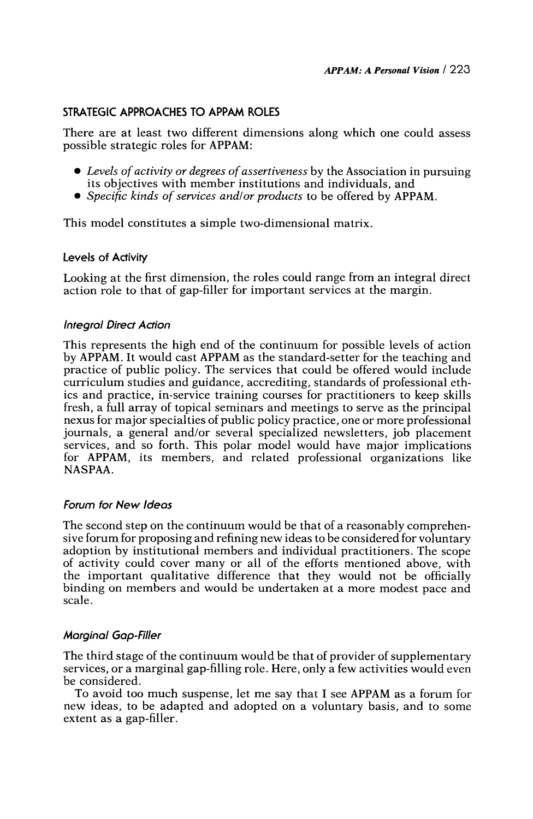# **STRATEGIC APPROACHES TO APPAM ROLES**

There are at least two different dimensions along which one could assess possible strategic roles for APPAM:

- *Levels of activity or degrees of assertiveness* by the Association in pursuing its objectives with member institutions and individuals, and
- *0 Specific kinds of services andlor products* to be offered by APPAM.

This model constitutes a simple two-dimensional matrix.

## **Levels of Activity**

Looking at the first dimension, the roles could range from an integral direct action role to that of gap-filler for important services at the margin.

## *In fegrol Direct Action*

This represents the high end of the continuum for possible levels of action by APPAM. It would cast APPAM as the standard-setter for the teaching and practice of public policy. The services that could be offered would include curriculum studies and guidance, accrediting, standards of professional ethics and practice, in-service training courses for practitioners to keep skills fresh, a full array of topical seminars and meetings to serve as the principal nexus for major specialties of public policy practice, one or more professional journals, a general and/or several specialized newsletters, job placement services, and so forth. This polar model would have major implications for APPAM, its members, and related professional organizations like NASPAA.

## *Forum for New ldeos*

The second step on the continuum would be that of a reasonably comprehensive forum for proposing and refining new ideas to be considered for voluntary adoption by institutional members and individual practitioners. The scope of activity could cover many or all of the efforts mentioned above, with the important qualitative difference that they would not be officially binding on members and would be undertaken at a more modest pace and scale.

# *Marginal Gop-Filler*

The third stage of the continuum would be that of provider of supplementary services, or a marginal gap-filling role. Here, only a few activities would even be considered.

To avoid too much suspense, let me say that I see APPAM as a forum for new ideas, to be adapted and adopted on a voluntary basis, and to some extent as a gap-filler.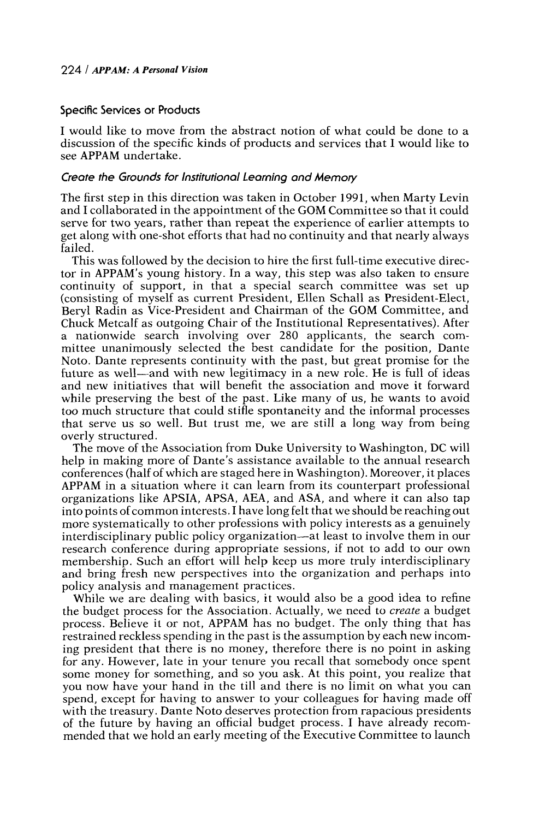#### 224 *APPAM: A Personal Vision*

#### **Specific Services or Products**

I would like to move from the abstract notion of what could be done to a discussion of the specific kinds of products and services that I would like to see APPAM undertake.

#### *Create the Grounds for Institutional Learning and Memory*

The first step in this direction was taken in October 1991, when Marty Levin and I collaborated in the appointment of the GOM Committee so that it could serve for two years, rather than repeat the experience of earlier attempts to get along with one-shot efforts that had no continuity and that nearly always failed.

This was followed by the decision to hire the first full-time executive director in APPAM's young history. In a way, this step was also taken to ensure continuity of support, in that a special search committee was set up (consisting of myself as current President, Ellen Schall as President-Elect, Beryl Radin as Vice-president and Chairman of the GOM Committee, and Chuck Metcalf as outgoing Chair of the Institutional Representatives). After a nationwide search involving over 280 applicants, the search committee unanimously selected the best candidate for the position, Dante Noto. Dante represents continuity with the past, but great promise for the future as well-and with new legitimacy in a new role. He is full of ideas and new initiatives that will benefit the association and move it forward while preserving the best of the past. Like many of us, he wants to avoid too much structure that could stifle spontaneity and the informal processes that serve us so well. But trust me, we are still a long way from being overly structured.

The move of the Association from Duke University to Washington, DC will help in making more of Dante's assistance available to the annual research conferences (half of which are staged here in Washington). Moreover, it places APPAM in a situation where it can learn from its counterpart professional organizations like APSIA, APSA, AEA, and ASA, and where it can also tap into points of common interests. I have long felt that we should be reaching out more systematically to other professions with policy interests as a genuinely interdisciplinary public policy organization-at least to involve them in our research conference during appropriate sessions, if not to add to our own membership. Such an effort will help keep us more truly interdisciplinary and bring fresh new perspectives into the organization and perhaps into policy analysis and management practices.

While we are dealing with basics, it would also be a good idea to refine the budget process for the Association. Actually, we need to *create* a budget process. Believe it or not, APPAM has no budget. The only thing that has restrained reckless spending in the past is the assumption by each new incoming president that there is no money, therefore there is no point in asking for any. However, late in your tenure you recall that somebody once spent some money for something, and so you ask. At this point, you realize that you now have your hand in the till and there is no limit on what you can spend, except for having to answer to your colleagues for having made off with the treasury. Dante Noto deserves protection from rapacious presidents of the future by having an official budget process. I have already recommended that we hold an early meeting of the Executive Committee to launch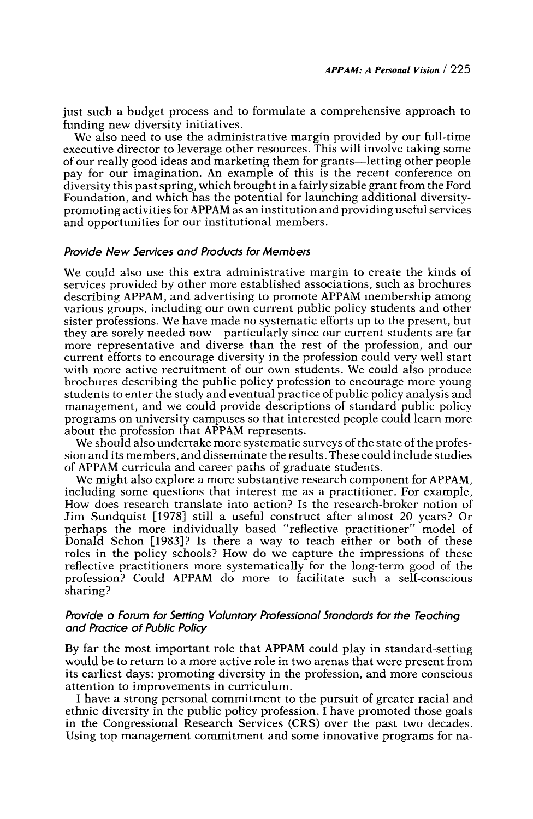just such a budget process and to formulate a comprehensive approach to funding new diversity initiatives.

We also need to use the administrative margin provided by our full-time executive director to leverage other resources. This will involve taking some of our really good ideas and marketing them for grants-letting other people pay for our imagination. An example of this is the recent conference on diversity this past spring, which brought in a fairly sizable grant from the Ford Foundation, and which has the potential for launching additional diversitypromoting activities for APPAM as an institution and providing useful services and opportunities for our institutional members.

#### *Provide New Services ond Products for Members*

We could also use this extra administrative margin to create the kinds of services provided by other more established associations, such as brochures describing APPAM, and advertising to promote APPAM membership among various groups, including our own current public policy students and other sister professions. We have made no systematic efforts up to the present, but they are sorely needed now-particularly since our current students are far more representative and diverse than the rest of the profession, and our current efforts to encourage diversity in the profession could very well start with more active recruitment of our own students. We could also produce brochures describing the public policy profession to encourage more young students to enter the study and eventual practice of public policy analysis and management, and we could provide descriptions of standard public policy programs on university campuses so that interested people could learn more about the profession that APPAM represents.

We should also undertake more systematic surveys of the state of the profession and its members, and disseminate the results. These could include studies of APPAM curricula and career paths of graduate students.

We might also explore a more substantive research component for APPAM, including some questions that interest me as a practitioner. For example, How does research translate into action? Is the research-broker notion of Jim Sundquist [I9781 still a useful construct after almost 20 years? Or perhaps the more individually based "reflective practitioner" model of Donald Schon **[1983]?** Is there a way to teach either or both of these roles in the policy schools? How do we capture the impressions of these reflective practitioners more systematically for the long-term good of the profession? Could APPAM do more to facilitate such a self-conscious sharing?

#### *Provide a Forum for Setting Voluntary Professional Standards for the Teaching ond Practice of Public Policy*

By far the most important role that APPAM could play in standard-setting would be to return to a more active role in two arenas that were present from its earliest days: promoting diversity in the profession, and more conscious attention to improvements in curriculum.

I have a strong personal commitment to the pursuit of greater racial and ethnic diversity in the public policy profession. I have promoted those goals in the Congressional Research Services (CRS) over the past two decades. Using top management commitment and some innovative programs for na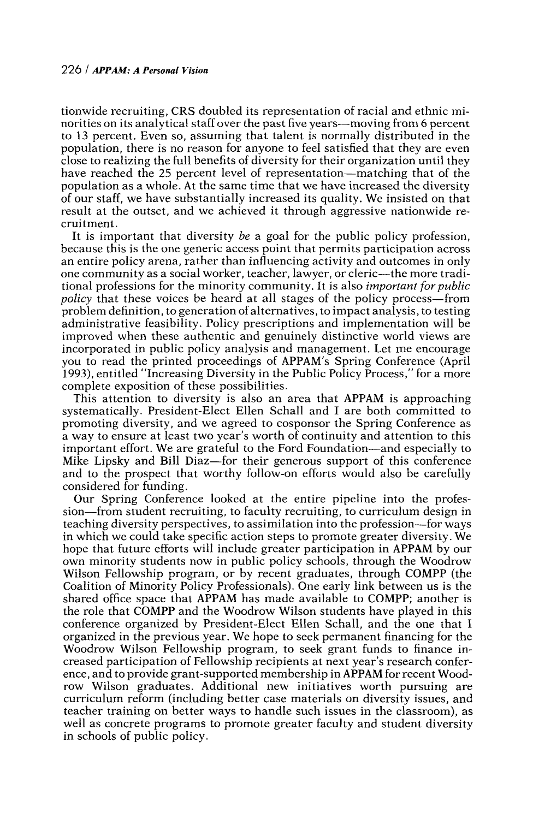tionwide recruiting, CRS doubled its representation of racial and ethnic minorities on its analytical staff over the past five years-moving from *6* percent to **13** percent. Even *so,* assuming that talent is normally distributed in the population, there is no reason for anyone to feel satisfied that they are even close to realizing the full benefits of diversity for their organization until they have reached the 25 percent level of representation—matching that of the population as a whole. At the same time that we have increased the diversity of our staff, we have substantially increased its quality. We insisted on that result at the outset, and we achieved it through aggressive nationwide recruitment.<br>It is important that diversity *be* a goal for the public policy profession,

because this is the one generic access point that permits participation across an entire policy arena, rather than influencing activity and outcomes in only one community as a social worker, teacher, lawyer, or cleric—the more traditional professions for the minority community. It is also *important for public policy* that these voices be heard at all stages of the policy process—from problem definition, to generation of alternatives, to impact analysis, to testing administrative feasibility. Policy prescriptions and implementation will be improved when these authentic and genuinely distinctive world views are incorporated in public policy analysis and management. Let me encourage you to read the printed proceedings of APPAM's Spring Conference (April *1993),* entitled "Increasing Diversity in the Public Policy Process," for a more complete exposition of these possibilities.

This attention to diversity is also an area that APPAM is approaching systematically. President-Elect Ellen Schall and I are both committed to promoting diversity, and we agreed to cosponsor the Spring Conference as a way to ensure at least two year's worth of continuity and attention to this important effort. We are grateful to the Ford Foundation-and especially to Mike Lipsky and Bill Diaz-for their generous support of this conference and to the prospect that worthy follow-on efforts would also be carefully considered for funding.

Our Spring Conference looked at the entire pipeline into the profession-from student recruiting, to faculty recruiting, to curriculum design in teaching diversity perspectives, to assimilation into the profession-for ways in which we could take specific action steps to promote greater diversity. We hope that future efforts will include greater participation in APPAM by our own minority students now in public policy schools, through the Woodrow Wilson Fellowship program, or by recent graduates, through COMPP (the Coalition of Minority Policy Professionals). One early link between us is the shared office space that APPAM has made available to COMPP; another is the role that COMPP and the Woodrow Wilson students have played in this conference organized by President-Elect Ellen Schall, and the one that I organized in the previous year. We hope to seek permanent financing for the Woodrow Wilson Fellowship program, to seek grant funds to finance increased participation of Fellowship recipients at next year's research conference, and to provide grant-supported membership in APPAM for recent Woodrow Wilson graduates. Additional new initiatives worth pursuing are curriculum reform (including better case materials on diversity issues, and teacher training on better ways to handle such issues in the classroom), as well as concrete programs to promote greater faculty and student diversity in schools of public policy.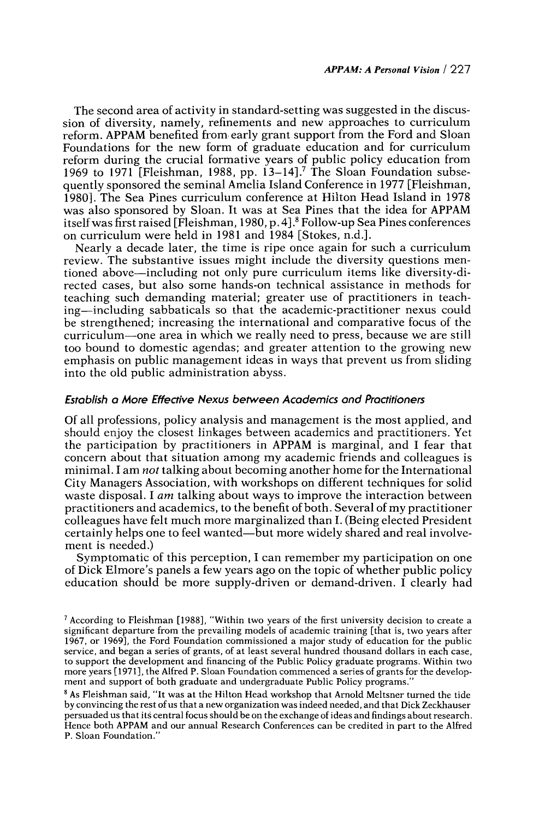The second area of activity in standard-setting was suggested in the discussion of diversity, namely, refinements and new approaches to curriculum reform. APPAM benefited from early grant support from the Ford and Sloan Foundations for the new form of graduate education and for curriculum reform during the crucial formative years of public policy education from 1969 to 1971 [Fleishman, 1988, pp.  $13-14$ ].<sup>7</sup> The Sloan Foundation subsequently sponsored the seminal Amelia Island Conference in 1977 [Fleishman, 1980]. The Sea Pines curriculum conference at Hilton Head Island in 1978 was also sponsored by Sloan. It was at Sea Pines that the idea for APPAM itself was first raised [Fleishman, 1980, p. 4]. Follow-up Sea Pines conferences on curriculum were held in 1981 and 1984 [Stokes, n.d.1.

Nearly a decade later, the time is ripe once again for such a curriculum review. The substantive issues might include the diversity questions mentioned above-including not only pure curriculum items like diversity-directed cases, but also some hands-on technical assistance in methods for teaching such demanding material; greater use of practitioners in teaching-including sabbaticals so that the academic-practitioner nexus could be strengthened; increasing the international and comparative focus of the curriculum-one area in which we really need to press, because we are still too bound to domestic agendas; and greater attention to the growing new emphasis on public management ideas in ways that prevent us from sliding into the old public administration abyss.

#### *Establish o More Effective Nexus between Acodemics ond Proctitioners*

Of all professions, policy analysis and management is the most applied, and should enjoy the closest linkages between academics and practitioners. Yet the participation by practitioners in APPAM is marginal, and I fear that concern about that situation among my academic friends and colleagues is minimal. I am *not* talking about becoming another home for the International City Managers Association, with workshops on different techniques for solid waste disposal. I *am* talking about ways to improve the interaction between practitioners and academics, to the benefit of both. Several of my practitioner colleagues have felt much more marginalized than I. (Being elected President certainly helps one to feel wanted-but more widely shared and real involvement is needed.)

Symptomatic of this perception, I can remember my participation on one of Dick Elmore's panels a few years ago on the topic of whether public policy education should be more supply-driven or demand-driven. I clearly had

 $^7$  According to Fleishman [1988], "Within two years of the first university decision to create a significant departure from the prevailing models of academic training [that is, two years after 1967, or 19691, the Ford Foundation commissioned a major study of education for the public service, and began a series of grants, of at least several hundred thousand dollars in each case, to support the development and financing of the Public Policy graduate programs. Within two more years [1971], the Alfred P. Sloan Foundation commenced a series of grants for the development and support of both graduate and undergraduate Public Policy programs."

 $8$  As Fleishman said, "It was at the Hilton Head workshop that Arnold Meltsner turned the tide by convincing the rest of **us** that a new organization was indeed needed, and that Dick Zeckhauser persuaded us that its central focus should be on the exchange **of** ideas and findings about research. Hence both APPAM and our annual Research Conferences can be credited in part to the Alfred P. Sloan Foundation."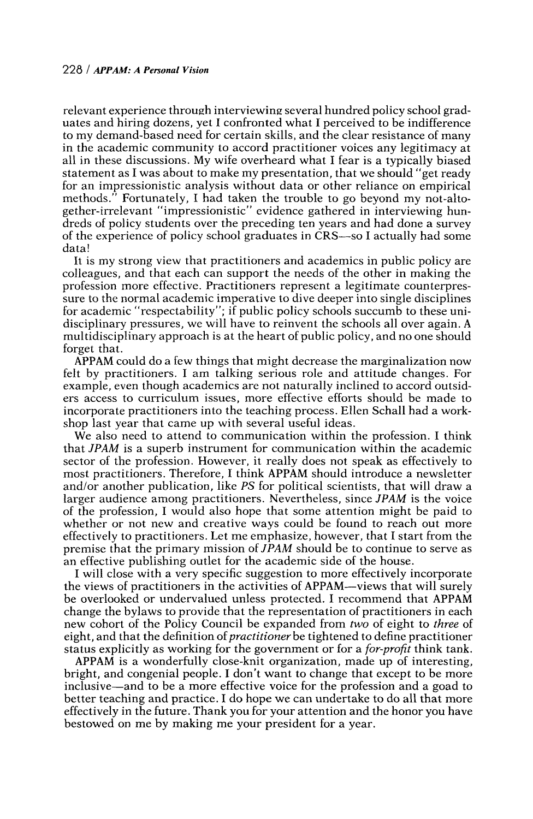relevant experience through interviewing several hundred policy school graduates and hiring dozens, yet I confronted what I perceived to be indifference to my demand-based need for certain skills, and the clear resistance of many in the academic community to accord practitioner voices any legitimacy at all in these discussions. My wife overheard what I fear is a typically biased statement as I was about to make my presentation, that we should "get ready for an impressionistic analysis without data or other reliance on empirical methods." Fortunately, I had taken the trouble to go beyond my not-altogether-irrelevant "impressionistic" evidence gathered in interviewing hundreds of policy students over the preceding ten years and had done a survey of the experience of policy school graduates in CRS—so I actually had some data!

It is my strong view that practitioners and academics in public policy are colleagues, and that each can support the needs of the other in making the profession more effective. Practitioners represent a legitimate counterpressure to the normal academic imperative to dive deeper into single disciplines for academic "respectability"; if public policy schools succumb to these unidisciplinary pressures, we will have to reinvent the schools all over again. A multidisciplinary approach is at the heart of public policy, and no one should forget that.

APPAM could do a few things that might decrease the marginalization now felt by practitioners. I am talking serious role and attitude changes. For example, even though academics are not naturally inclined to accord outsiders access to curriculum issues, more effective efforts should be made to incorporate practitioners into the teaching process. Ellen Schall had a workshop last year that came up with several useful ideas.

We also need to attend to communication within the profession. I think that *JPAM* is a superb instrument for communication within the academic sector of the profession. However, it really does not speak as effectively to most practitioners. Therefore, I think APPAM should introduce a newsletter and/or another publication, like *PS* for political scientists, that will draw a larger audience among practitioners. Nevertheless, since *JPAM* is the voice of the profession, I would also hope that some attention might be paid to whether or not new and creative ways could be found to reach out more effectively to practitioners. Let me emphasize, however, that I start from the premise that the primary mission of *JPAM* should be to continue to serve as an effective publishing outlet for the academic side of the house.

I will close with a very specific suggestion to more effectively incorporate the views of practitioners in the activities of APPAM—views that will surely be overlooked or undervalued unless protected. I recommend that APPAM change the bylaws to provide that the representation of practitioners in each new cohort of the Policy Council be expanded from *two* of eight to *three* of eight, and that the definition of *practitioner* be tightened to define practitioner status explicitly as working for the government or for a *for-profit* think tank.

APPAM is a wonderfully close-knit organization, made up of interesting, bright, and congenial people. I don't want to change that except to be more inclusive-and to be a more effective voice for the profession and a goad to better teaching and practice. I do hope we can undertake to do all that more effectively in the future. Thank you for your attention and the honor you have bestowed on me by making me your president for a year.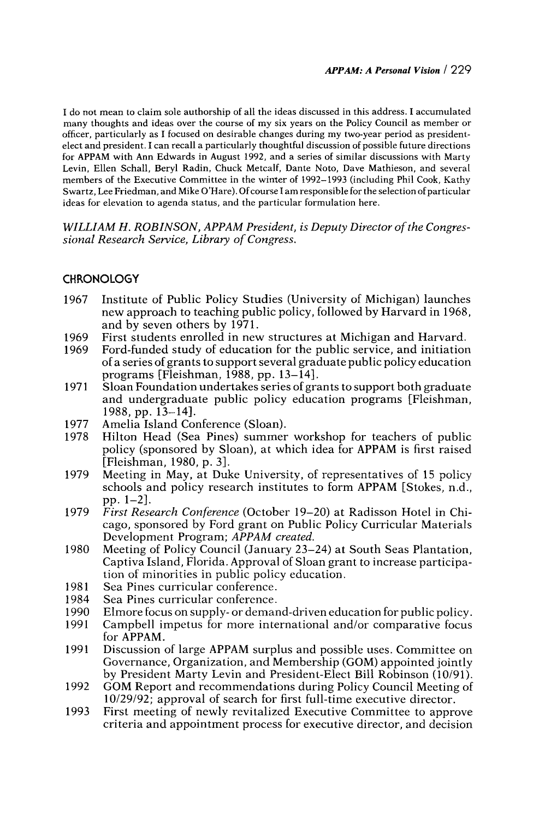**I** do not mean to claim sole authorship of all the ideas discussed in this address. **I** accumulated many thoughts and ideas over the course **of** my six years on the Policy Council as member or officer, particularly as **I** focused on desirable changes during my two-year period as presidentelect and president. **I** can recall a particularly thoughtful discussion of possible future directions **for** APPAM with Ann Edwards in August 1992, and a series **of** similar discussions with Marty Levin, Ellen Schall, Beryl Radin, Chuck Metcalf, Dante Noto, Dave Mathieson, and several members **of** the Executive Committee in the winter of 1992-1993 (including Phil Cook, Kathy Swartz, Lee Friedman, and Mike O'Hare). Ofcourse I am responsible for the selection of particular ideas for elevation to agenda status, and the particular formulation here.

*WILLIAM H. ROBINSON, APPAM President, is Deputy Director of the Congressional Research Service, Library of Congress.* 

# **CHRONOLOGY**

- 1967 Institute of Public Policy Studies (University of Michigan) launches new approach to teaching public policy, followed by Harvard in 1968, and by seven others by 1971.
- 1969 First students enrolled in new structures at Michigan and Harvard.
- 1969 Ford-funded study of education for the public service, and initiation of a series of grants to support several graduate public policy education programs [Fleishman, 1988, pp. 13-14].
- 1971 Sloan Foundation undertakes series of grants to support both graduate and undergraduate public policy education programs [Fleishman, 1988, pp. 13-14].
- 1977 Amelia Island Conference (Sloan).
- 1978 Hilton Head (Sea Pines) summer workshop for teachers of public policy (sponsored by Sloan), at which idea for APPAM is first raised [Fleishman, 1980, p. 31.
- 1979 Meeting in May, at Duke University, of representatives of 15 policy schools and policy research institutes to form APPAM [Stokes, n.d., pp. 1-21.
- 1979 *First Research Conference* (October 19-20) at Radisson Hotel in Chicago, sponsored by Ford grant on Public Policy Curricular Materials Development Program; *APPAM created.*
- 1980 Meeting of Policy Council (January 23-24) at South Seas Plantation, Captiva Island, Florida. Approval of Sloan grant to increase participation of minorities in public policy education.
- 1981 Sea Pines curricular conference.
- 1984 Sea Pines curricular conference.
- 1990 Elmore focus on supply- or demand-driven education for public policy.
- 1991 Campbell impetus for more international and/or comparative focus for APPAM.
- 1991 Discussion of large APPAM surplus and possible uses. Committee on Governance, Organization, and Membership (GOM) appointed jointly by President Marty Levin and President-Elect Bill Robinson (10/91).
- 1992 GOM Report and recommendations during Policy Council Meeting of 10/29/92; approval of search for first full-time executive director.
- 1993 First meeting of newly revitalized Executive Committee to approve criteria and appointment process for executive director, and decision